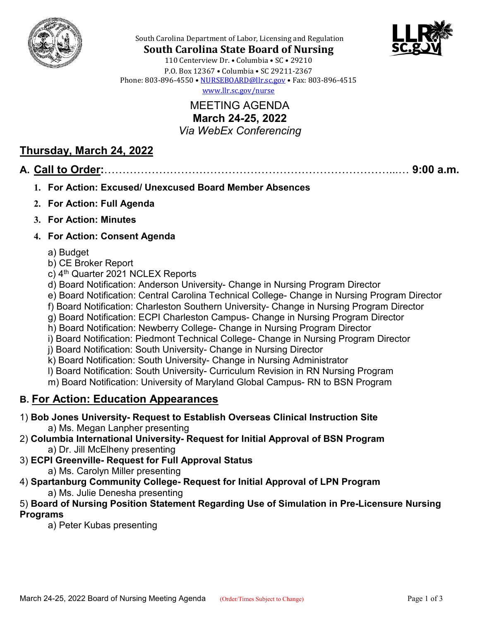



South Carolina Department of Labor, Licensing and Regulation

**South Carolina State Board of Nursing** 110 Centerview Dr. • Columbia • SC • 29210 P.O. Box 12367 • Columbia • SC 29211-2367 Phone: 803-896-4550 • [NURSEBOARD@llr.sc.gov](mailto:contactllr@llr.sc.gov) • Fax: 803-896-4515 [www.llr.sc.gov/nurse](http://www.llr.sc.gov/nurse)

> MEETING AGENDA **March 24-25, 2022** *Via WebEx Conferencing*

## **Thursday, March 24, 2022**

### **A. Call to Order:**……………………………………………………………………...… **9:00 a.m.**

- **1. For Action: Excused/ Unexcused Board Member Absences**
- **2. For Action: Full Agenda**
- **3. For Action: Minutes**

#### **4. For Action: Consent Agenda**

- a) Budget
- b) CE Broker Report
- c) 4<sup>th</sup> Quarter 2021 NCLEX Reports
- d) Board Notification: Anderson University- Change in Nursing Program Director
- e) Board Notification: Central Carolina Technical College- Change in Nursing Program Director
- f) Board Notification: Charleston Southern University- Change in Nursing Program Director
- g) Board Notification: ECPI Charleston Campus- Change in Nursing Program Director
- h) Board Notification: Newberry College- Change in Nursing Program Director
- i) Board Notification: Piedmont Technical College- Change in Nursing Program Director
- j) Board Notification: South University- Change in Nursing Director
- k) Board Notification: South University- Change in Nursing Administrator
- l) Board Notification: South University- Curriculum Revision in RN Nursing Program
- m) Board Notification: University of Maryland Global Campus- RN to BSN Program

# **B. For Action: Education Appearances**

- 1) **Bob Jones University- Request to Establish Overseas Clinical Instruction Site** a) Ms. Megan Lanpher presenting
- 2) **Columbia International University- Request for Initial Approval of BSN Program** a) Dr. Jill McElheny presenting
- 3) **ECPI Greenville- Request for Full Approval Status**
	- a) Ms. Carolyn Miller presenting
- 4) **Spartanburg Community College- Request for Initial Approval of LPN Program** a) Ms. Julie Denesha presenting

#### 5) **Board of Nursing Position Statement Regarding Use of Simulation in Pre-Licensure Nursing Programs**

a) Peter Kubas presenting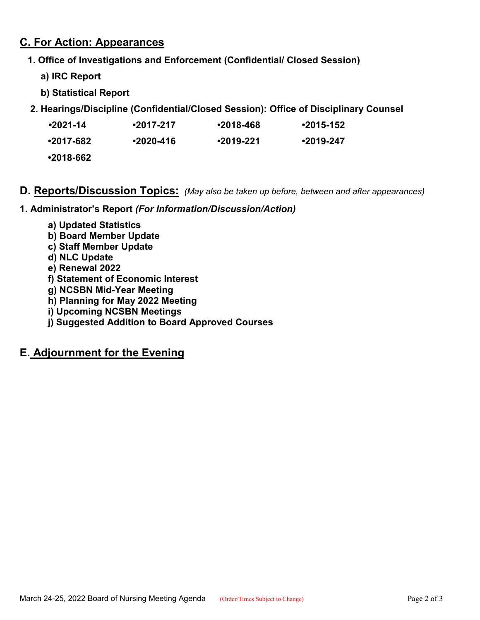### **C. For Action: Appearances**

- **1. Office of Investigations and Enforcement (Confidential/ Closed Session)**
	- **a) IRC Report**
	- **b) Statistical Report**
- **2. Hearings/Discipline (Confidential/Closed Session): Office of Disciplinary Counsel**

| $•2021 - 14$ | $•2017-217$ | $•2018-468$ | $•2015-152$ |
|--------------|-------------|-------------|-------------|
|              |             |             |             |

| •2017-682 | $•2020 - 416$ | $•2019-221$ | $•2019-247$ |
|-----------|---------------|-------------|-------------|
|           |               |             |             |

**•2018-662**

### **D. Reports/Discussion Topics:** *(May also be taken up before, between and after appearances)*

**1. Administrator's Report** *(For Information/Discussion/Action)*

- **a) Updated Statistics**
- **b) Board Member Update**
- **c) Staff Member Update**
- **d) NLC Update**
- **e) Renewal 2022**
- **f) Statement of Economic Interest**
- **g) NCSBN Mid-Year Meeting**
- **h) Planning for May 2022 Meeting**
- **i) Upcoming NCSBN Meetings**
- **j) Suggested Addition to Board Approved Courses**

# **E. Adjournment for the Evening**